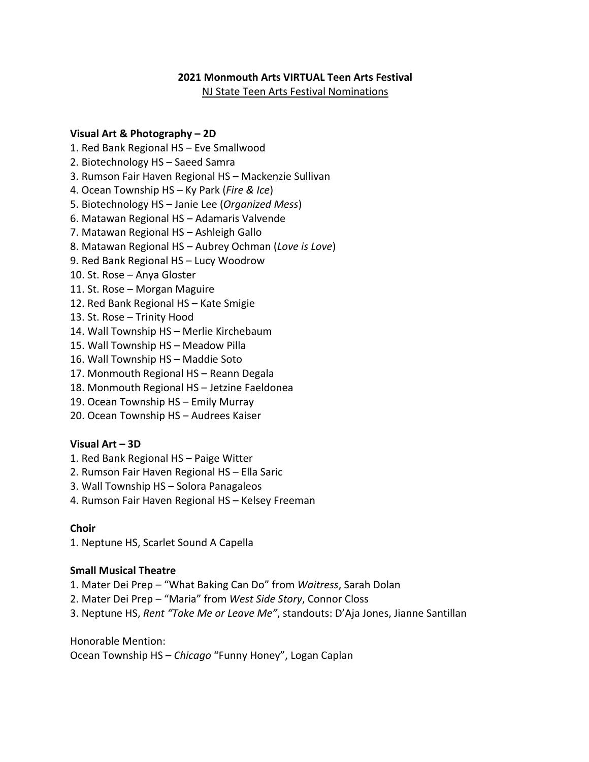# **2021 Monmouth Arts VIRTUAL Teen Arts Festival**

NJ State Teen Arts Festival Nominations

### **Visual Art & Photography – 2D**

- 1. Red Bank Regional HS Eve Smallwood
- 2. Biotechnology HS Saeed Samra
- 3. Rumson Fair Haven Regional HS Mackenzie Sullivan
- 4. Ocean Township HS Ky Park (*Fire & Ice*)
- 5. Biotechnology HS Janie Lee (*Organized Mess*)
- 6. Matawan Regional HS Adamaris Valvende
- 7. Matawan Regional HS Ashleigh Gallo
- 8. Matawan Regional HS Aubrey Ochman (*Love is Love*)
- 9. Red Bank Regional HS Lucy Woodrow
- 10. St. Rose Anya Gloster
- 11. St. Rose Morgan Maguire
- 12. Red Bank Regional HS Kate Smigie
- 13. St. Rose Trinity Hood
- 14. Wall Township HS Merlie Kirchebaum
- 15. Wall Township HS Meadow Pilla
- 16. Wall Township HS Maddie Soto
- 17. Monmouth Regional HS Reann Degala
- 18. Monmouth Regional HS Jetzine Faeldonea
- 19. Ocean Township HS Emily Murray
- 20. Ocean Township HS Audrees Kaiser

## **Visual Art – 3D**

- 1. Red Bank Regional HS Paige Witter
- 2. Rumson Fair Haven Regional HS Ella Saric
- 3. Wall Township HS Solora Panagaleos
- 4. Rumson Fair Haven Regional HS Kelsey Freeman

#### **Choir**

1. Neptune HS, Scarlet Sound A Capella

## **Small Musical Theatre**

- 1. Mater Dei Prep "What Baking Can Do" from *Waitress*, Sarah Dolan
- 2. Mater Dei Prep "Maria" from *West Side Story*, Connor Closs
- 3. Neptune HS, *Rent "Take Me or Leave Me"*, standouts: D'Aja Jones, Jianne Santillan

#### Honorable Mention:

Ocean Township HS – *Chicago* "Funny Honey", Logan Caplan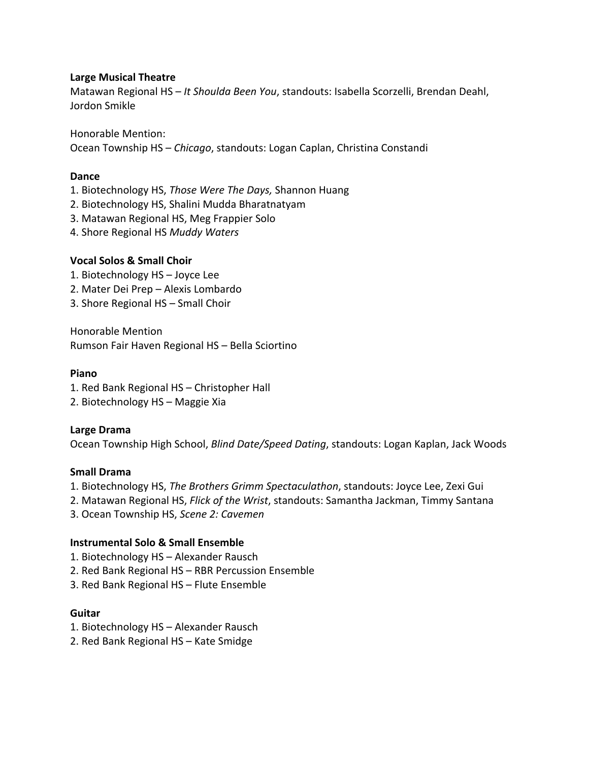## **Large Musical Theatre**

Matawan Regional HS – *It Shoulda Been You*, standouts: Isabella Scorzelli, Brendan Deahl, Jordon Smikle

Honorable Mention: Ocean Township HS – *Chicago*, standouts: Logan Caplan, Christina Constandi

## **Dance**

- 1. Biotechnology HS, *Those Were The Days,* Shannon Huang
- 2. Biotechnology HS, Shalini Mudda Bharatnatyam
- 3. Matawan Regional HS, Meg Frappier Solo
- 4. Shore Regional HS *Muddy Waters*

## **Vocal Solos & Small Choir**

- 1. Biotechnology HS Joyce Lee
- 2. Mater Dei Prep Alexis Lombardo
- 3. Shore Regional HS Small Choir

Honorable Mention Rumson Fair Haven Regional HS – Bella Sciortino

### **Piano**

- 1. Red Bank Regional HS Christopher Hall
- 2. Biotechnology HS Maggie Xia

## **Large Drama**

Ocean Township High School, *Blind Date/Speed Dating*, standouts: Logan Kaplan, Jack Woods

## **Small Drama**

- 1. Biotechnology HS, *The Brothers Grimm Spectaculathon*, standouts: Joyce Lee, Zexi Gui
- 2. Matawan Regional HS, *Flick of the Wrist*, standouts: Samantha Jackman, Timmy Santana
- 3. Ocean Township HS, *Scene 2: Cavemen*

## **Instrumental Solo & Small Ensemble**

- 1. Biotechnology HS Alexander Rausch
- 2. Red Bank Regional HS RBR Percussion Ensemble
- 3. Red Bank Regional HS Flute Ensemble

## **Guitar**

- 1. Biotechnology HS Alexander Rausch
- 2. Red Bank Regional HS Kate Smidge